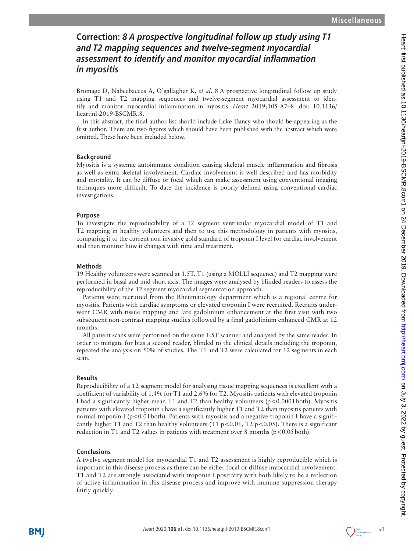# **Correction: 8 A prospective longitudinal follow up study using T1 and T2 mapping sequences and twelve-segment myocardial assessment to identify and monitor myocardial inflammation in myositis**

Bromage D, Nabeebaccus A, O'gallagher K, *et al.* 8 A prospective longitudinal follow up study using T1 and T2 mapping sequences and twelve-segment myocardial assessment to identify and monitor myocardial inflammation in myositis. *Heart* 2019;105:A7–8. doi: 10.1136/ heartjnl-2019-BSCMR.8.

In this abstract, the final author list should include Luke Dancy who should be appearing as the first author. There are two figures which should have been published with the abstract which were omitted. These have been included below.

### **Background**

Myositis is a systemic autoimmune condition causing skeletal muscle inflammation and fibrosis as well as extra skeletal involvement. Cardiac involvement is well described and has morbidity and mortality. It can be diffuse or focal which can make assessment using conventional imaging techniques more difficult. To date the incidence is poorly defined using conventional cardiac investigations.

#### **Purpose**

To investigate the reproducibility of a 12 segment ventricular myocardial model of T1 and T2 mapping in healthy volunteers and then to use this methodology in patients with myositis, comparing it to the current non invasive gold standard of troponin I level for cardiac involvement and then monitor how it changes with time and treatment.

### **Methods**

19 Healthy volunteers were scanned at 1.5T. T1 (using a MOLLI sequence) and T2 mapping were performed in basal and mid short axis. The images were analysed by blinded readers to assess the reproducibility of the 12 segment myocardial segmentation approach.

Patients were recruited from the Rheumatology department which is a regional centre for myositis. Patients with cardiac symptoms or elevated troponin I were recruited. Recruits underwent CMR with tissue mapping and late gadolinium enhancement at the first visit with two subsequent non-contrast mapping studies followed by a final gadolinium enhanced CMR at 12 months.

All patient scans were performed on the same 1.5T scanner and analysed by the same reader. In order to mitigate for bias a second reader, blinded to the clinical details including the troponin, repeated the analysis on 50% of studies. The T1 and T2 were calculated for 12 segments in each scan.

## **Results**

Reproducibility of a 12 segment model for analysing tissue mapping sequences is excellent with a coefficient of variability of 1.4% for T1 and 2.6% for T2. Myositis patients with elevated troponin I had a significantly higher mean T1 and T2 than healthy volunteers (p<0.0001both). Myositis patients with elevated troponin i have a significantly higher T1 and T2 than myositis patients with normal troponin I ( $p < 0.01$  both). Patients with myositis and a negative troponin I have a significantly higher T1 and T2 than healthy volunteers (T1  $p < 0.01$ , T2  $p < 0.05$ ). There is a significant reduction in T1 and T2 values in patients with treatment over 8 months ( $p < 0.05$  both).

## **Conclusions**

A twelve segment model for myocardial T1 and T2 assessment is highly reproducible which is important in this disease process as there can be either focal or diffuse myocardial involvement. T1 and T2 are strongly associated with troponin I positivity with both likely to be a reflection of active inflammation in this disease process and improve with immune suppression therapy fairly quickly.